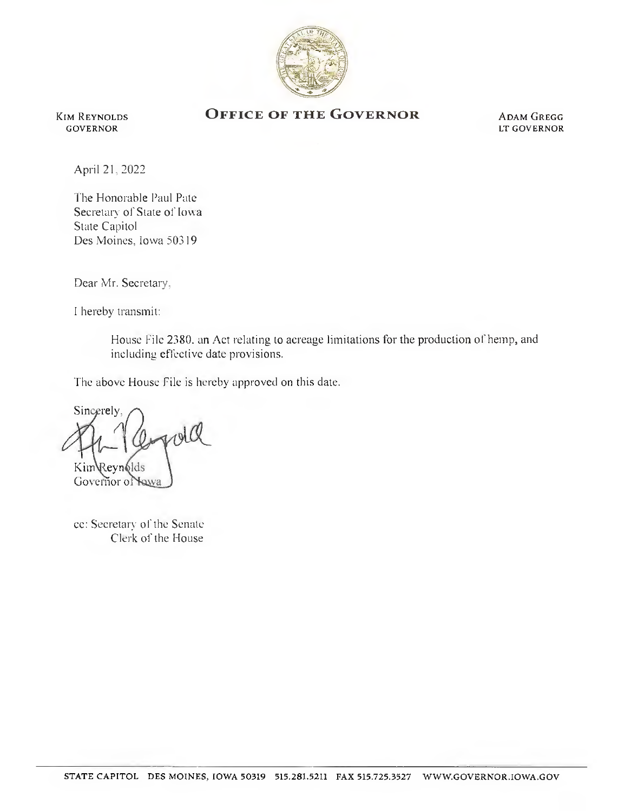

Kim Reynolds GOVERNOR

## OFFICE OF THE GOVERNOR ADAM GREGG

LT governor

April 21, 2022

The Honorable Paul Pate Secretary of State of Iowa State Capitol Des Moines. Iowa 50319

Dear Mr. Secretary,

I hereby transmit:

House File 2380. an Act relating to acreage limitations for the production of hemp, and including effective date provisions.

The above House File is hereby approved on this date.

**Sincerely**. mold Kim*Revn*6lds

Governor of **Yaya** 

cc: Secretary of the Senate Clerk of the House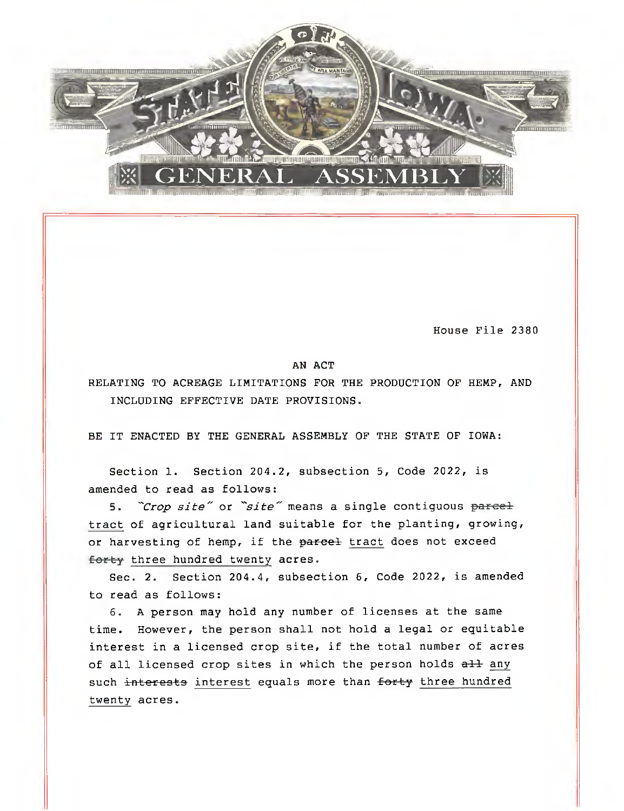

House File 2380

## AN ACT

RELATING TO ACREAGE LIMITATIONS FOR THE PRODUCTION OF HEMP, AND INCLUDING EFFECTIVE DATE PROVISIONS.

BE IT ENACTED BY THE GENERAL ASSEMBLY OF THE STATE OF IOWA:

Section 1. Section 204.2, subsection 5, Code 2022, is amended to read as follows:

5. "Crop site" or "site" means a single contiguous parcel tract of agricultural land suitable for the planting, growing, or harvesting of hemp, if the parcel tract does not exceed forty three hundred twenty acres.

Sec. 2. Section 204.4, subsection 6, Code 2022, is amended to read as follows:

6. A person may hold any number of licenses at the same time. However, the person shall not hold a legal or equitable interest in a licensed crop site, if the total number of acres of all licensed crop sites in which the person holds all any such interests interest equals more than forty three hundred twenty acres.